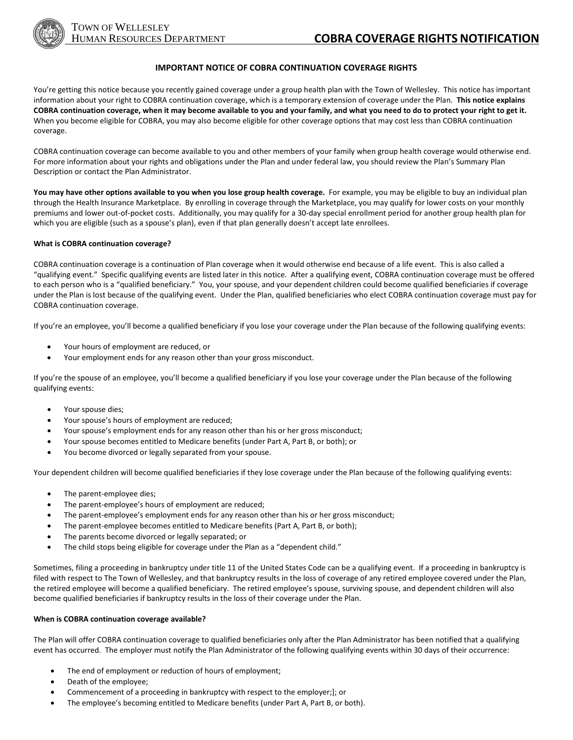

# **IMPORTANT NOTICE OF COBRA CONTINUATION COVERAGE RIGHTS**

You're getting this notice because you recently gained coverage under a group health plan with the Town of Wellesley. This notice has important information about your right to COBRA continuation coverage, which is a temporary extension of coverage under the Plan. **This notice explains COBRA continuation coverage, when it may become available to you and your family, and what you need to do to protect your right to get it.** When you become eligible for COBRA, you may also become eligible for other coverage options that may cost less than COBRA continuation coverage.

COBRA continuation coverage can become available to you and other members of your family when group health coverage would otherwise end. For more information about your rights and obligations under the Plan and under federal law, you should review the Plan's Summary Plan Description or contact the Plan Administrator.

**You may have other options available to you when you lose group health coverage.** For example, you may be eligible to buy an individual plan through the Health Insurance Marketplace. By enrolling in coverage through the Marketplace, you may qualify for lower costs on your monthly premiums and lower out-of-pocket costs. Additionally, you may qualify for a 30-day special enrollment period for another group health plan for which you are eligible (such as a spouse's plan), even if that plan generally doesn't accept late enrollees.

#### **What is COBRA continuation coverage?**

COBRA continuation coverage is a continuation of Plan coverage when it would otherwise end because of a life event. This is also called a "qualifying event." Specific qualifying events are listed later in this notice. After a qualifying event, COBRA continuation coverage must be offered to each person who is a "qualified beneficiary." You, your spouse, and your dependent children could become qualified beneficiaries if coverage under the Plan is lost because of the qualifying event. Under the Plan, qualified beneficiaries who elect COBRA continuation coverage must pay for COBRA continuation coverage.

If you're an employee, you'll become a qualified beneficiary if you lose your coverage under the Plan because of the following qualifying events:

- Your hours of employment are reduced, or
- Your employment ends for any reason other than your gross misconduct.

If you're the spouse of an employee, you'll become a qualified beneficiary if you lose your coverage under the Plan because of the following qualifying events:

- Your spouse dies;
- Your spouse's hours of employment are reduced;
- Your spouse's employment ends for any reason other than his or her gross misconduct;
- Your spouse becomes entitled to Medicare benefits (under Part A, Part B, or both); or
- You become divorced or legally separated from your spouse.

Your dependent children will become qualified beneficiaries if they lose coverage under the Plan because of the following qualifying events:

- The parent-employee dies;
- The parent-employee's hours of employment are reduced;
- The parent-employee's employment ends for any reason other than his or her gross misconduct;
- The parent-employee becomes entitled to Medicare benefits (Part A, Part B, or both);
- The parents become divorced or legally separated; or
- The child stops being eligible for coverage under the Plan as a "dependent child."

Sometimes, filing a proceeding in bankruptcy under title 11 of the United States Code can be a qualifying event. If a proceeding in bankruptcy is filed with respect to The Town of Wellesley, and that bankruptcy results in the loss of coverage of any retired employee covered under the Plan, the retired employee will become a qualified beneficiary. The retired employee's spouse, surviving spouse, and dependent children will also become qualified beneficiaries if bankruptcy results in the loss of their coverage under the Plan.

#### **When is COBRA continuation coverage available?**

The Plan will offer COBRA continuation coverage to qualified beneficiaries only after the Plan Administrator has been notified that a qualifying event has occurred. The employer must notify the Plan Administrator of the following qualifying events within 30 days of their occurrence:

- The end of employment or reduction of hours of employment;
- Death of the employee;
- Commencement of a proceeding in bankruptcy with respect to the employer;]; or
- The employee's becoming entitled to Medicare benefits (under Part A, Part B, or both).